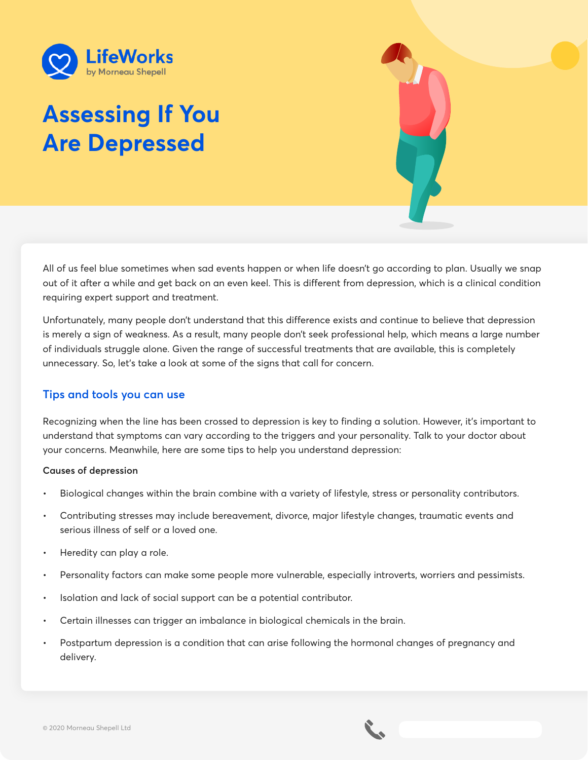

# **Assessing If You Are Depressed**

All of us feel blue sometimes when sad events happen or when life doesn't go according to plan. Usually we snap out of it after a while and get back on an even keel. This is different from depression, which is a clinical condition requiring expert support and treatment.

Unfortunately, many people don't understand that this difference exists and continue to believe that depression is merely a sign of weakness. As a result, many people don't seek professional help, which means a large number of individuals struggle alone. Given the range of successful treatments that are available, this is completely unnecessary. So, let's take a look at some of the signs that call for concern.

# **Tips and tools you can use**

Recognizing when the line has been crossed to depression is key to finding a solution. However, it's important to understand that symptoms can vary according to the triggers and your personality. Talk to your doctor about your concerns. Meanwhile, here are some tips to help you understand depression:

## **Causes of depression**

- Biological changes within the brain combine with a variety of lifestyle, stress or personality contributors.
- Contributing stresses may include bereavement, divorce, major lifestyle changes, traumatic events and serious illness of self or a loved one.
- Heredity can play a role.
- Personality factors can make some people more vulnerable, especially introverts, worriers and pessimists.
- Isolation and lack of social support can be a potential contributor.
- Certain illnesses can trigger an imbalance in biological chemicals in the brain.
- Postpartum depression is a condition that can arise following the hormonal changes of pregnancy and delivery.